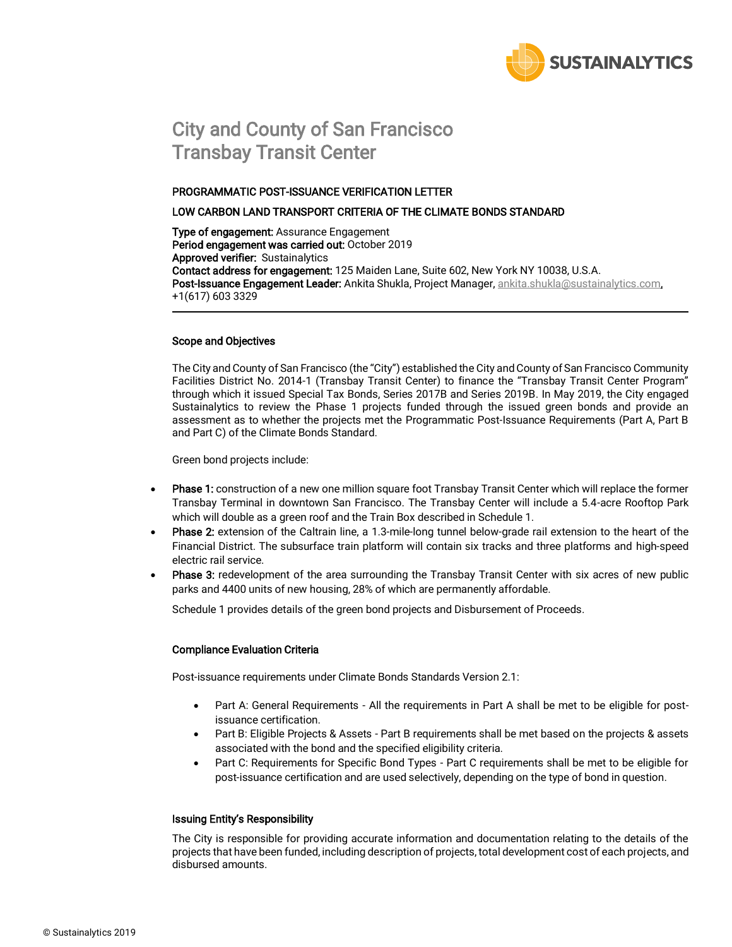

# City and County of San Francisco Transbay Transit Center

#### PROGRAMMATIC POST-ISSUANCE VERIFICATION LETTER

#### LOW CARBON LAND TRANSPORT CRITERIA OF THE CLIMATE BONDS STANDARD

Type of engagement: Assurance Engagement Period engagement was carried out: October 2019 Approved verifier: Sustainalytics Contact address for engagement: 125 Maiden Lane, Suite 602, New York NY 10038, U.S.A. Post-Issuance Engagement Leader: Ankita Shukla, Project Manager, [ankita.shukla@sustainalytics.com,](mailto:ankita.shukla@sustainalytics.com) +1(617) 603 3329

#### Scope and Objectives

The City and County of San Francisco (the "City") established the City and County of San Francisco Community Facilities District No. 2014-1 (Transbay Transit Center) to finance the "Transbay Transit Center Program" through which it issued Special Tax Bonds, Series 2017B and Series 2019B. In May 2019, the City engaged Sustainalytics to review the Phase 1 projects funded through the issued green bonds and provide an assessment as to whether the projects met the Programmatic Post-Issuance Requirements (Part A, Part B and Part C) of the Climate Bonds Standard.

Green bond projects include:

- Phase 1: construction of a new one million square foot Transbay Transit Center which will replace the former Transbay Terminal in downtown San Francisco. The Transbay Center will include a 5.4-acre Rooftop Park which will double as a green roof and the Train Box described in Schedule 1.
- Phase 2: extension of the Caltrain line, a 1.3-mile-long tunnel below-grade rail extension to the heart of the Financial District. The subsurface train platform will contain six tracks and three platforms and high-speed electric rail service.
- Phase 3: redevelopment of the area surrounding the Transbay Transit Center with six acres of new public parks and 4400 units of new housing, 28% of which are permanently affordable.

Schedule 1 provides details of the green bond projects and Disbursement of Proceeds.

### Compliance Evaluation Criteria

Post-issuance requirements under Climate Bonds Standards Version 2.1:

- Part A: General Requirements All the requirements in Part A shall be met to be eligible for postissuance certification.
- Part B: Eligible Projects & Assets Part B requirements shall be met based on the projects & assets associated with the bond and the specified eligibility criteria.
- Part C: Requirements for Specific Bond Types Part C requirements shall be met to be eligible for post-issuance certification and are used selectively, depending on the type of bond in question.

#### Issuing Entity's Responsibility

The City is responsible for providing accurate information and documentation relating to the details of the projects that have been funded, including description of projects, total development cost of each projects, and disbursed amounts.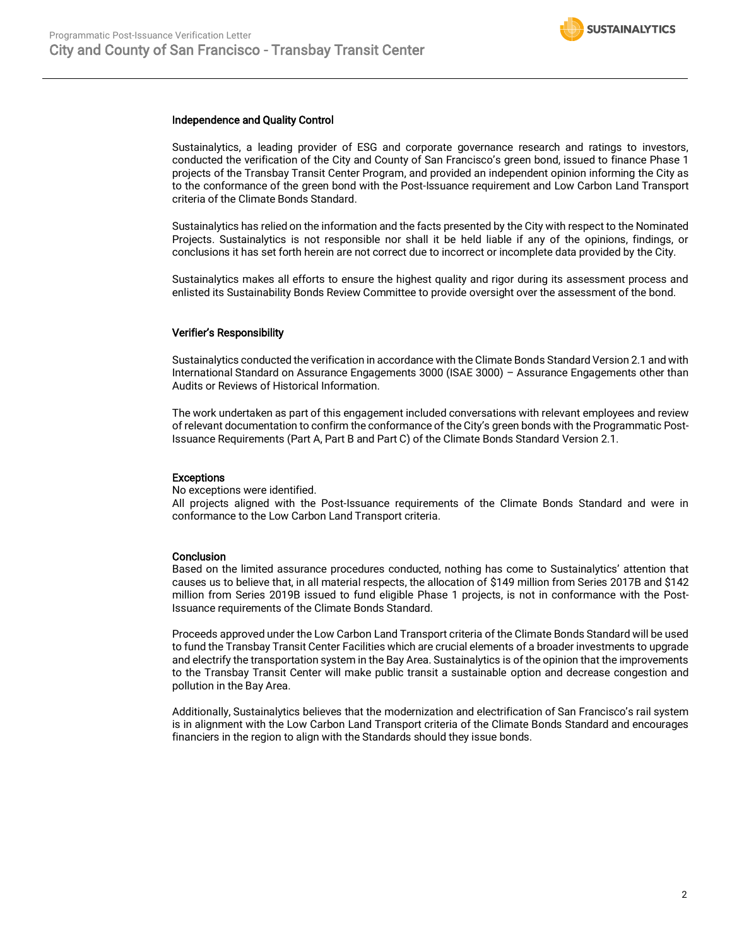

#### Independence and Quality Control

Sustainalytics, a leading provider of ESG and corporate governance research and ratings to investors, conducted the verification of the City and County of San Francisco's green bond, issued to finance Phase 1 projects of the Transbay Transit Center Program, and provided an independent opinion informing the City as to the conformance of the green bond with the Post-Issuance requirement and Low Carbon Land Transport criteria of the Climate Bonds Standard.

Sustainalytics has relied on the information and the facts presented by the City with respect to the Nominated Projects. Sustainalytics is not responsible nor shall it be held liable if any of the opinions, findings, or conclusions it has set forth herein are not correct due to incorrect or incomplete data provided by the City.

Sustainalytics makes all efforts to ensure the highest quality and rigor during its assessment process and enlisted its Sustainability Bonds Review Committee to provide oversight over the assessment of the bond.

#### Verifier's Responsibility

Sustainalytics conducted the verification in accordance with the Climate Bonds Standard Version 2.1 and with International Standard on Assurance Engagements 3000 (ISAE 3000) – Assurance Engagements other than Audits or Reviews of Historical Information.

The work undertaken as part of this engagement included conversations with relevant employees and review of relevant documentation to confirm the conformance of the City's green bonds with the Programmatic Post-Issuance Requirements (Part A, Part B and Part C) of the Climate Bonds Standard Version 2.1.

#### Exceptions

No exceptions were identified.

All projects aligned with the Post-Issuance requirements of the Climate Bonds Standard and were in conformance to the Low Carbon Land Transport criteria.

#### Conclusion

Based on the limited assurance procedures conducted, nothing has come to Sustainalytics' attention that causes us to believe that, in all material respects, the allocation of \$149 million from Series 2017B and \$142 million from Series 2019B issued to fund eligible Phase 1 projects, is not in conformance with the Post-Issuance requirements of the Climate Bonds Standard.

Proceeds approved under the Low Carbon Land Transport criteria of the Climate Bonds Standard will be used to fund the Transbay Transit Center Facilities which are crucial elements of a broader investments to upgrade and electrify the transportation system in the Bay Area. Sustainalytics is of the opinion that the improvements to the Transbay Transit Center will make public transit a sustainable option and decrease congestion and pollution in the Bay Area.

Additionally, Sustainalytics believes that the modernization and electrification of San Francisco's rail system is in alignment with the Low Carbon Land Transport criteria of the Climate Bonds Standard and encourages financiers in the region to align with the Standards should they issue bonds.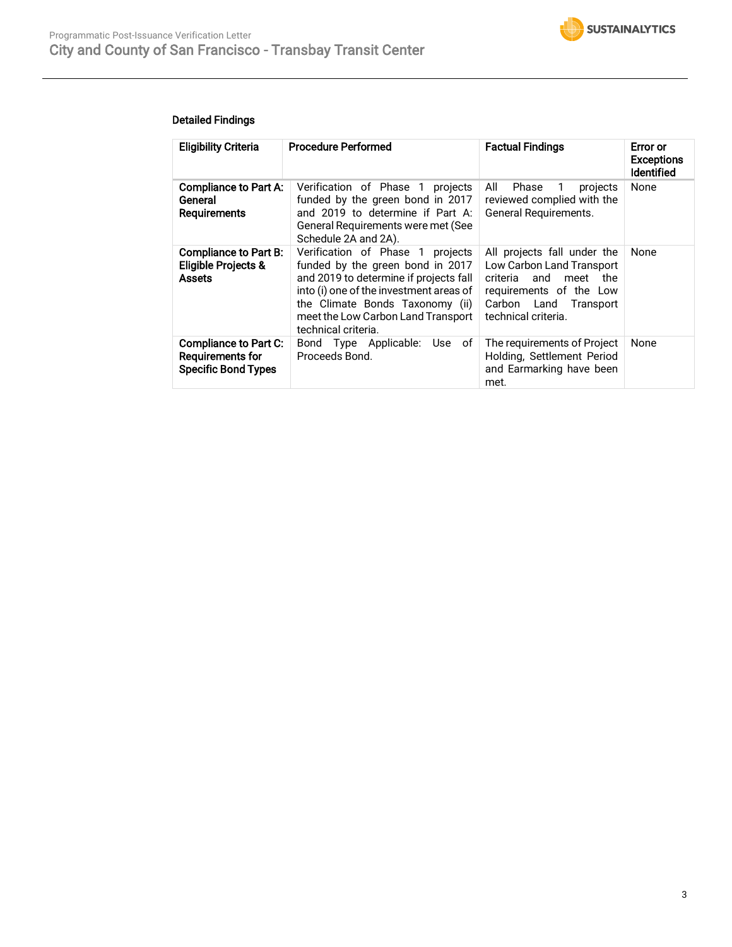

## Detailed Findings

| <b>Eligibility Criteria</b>                                                     | <b>Procedure Performed</b>                                                                                                                                                                                                                                | <b>Factual Findings</b>                                                                                                                                         | <b>Error</b> or<br><b>Exceptions</b><br><b>Identified</b> |
|---------------------------------------------------------------------------------|-----------------------------------------------------------------------------------------------------------------------------------------------------------------------------------------------------------------------------------------------------------|-----------------------------------------------------------------------------------------------------------------------------------------------------------------|-----------------------------------------------------------|
| <b>Compliance to Part A:</b><br>General<br><b>Requirements</b>                  | Verification of Phase 1<br>projects<br>funded by the green bond in 2017<br>and 2019 to determine if Part A:<br>General Requirements were met (See<br>Schedule 2A and 2A).                                                                                 | All<br>Phase<br>$\overline{1}$<br>projects<br>reviewed complied with the<br><b>General Requirements.</b>                                                        | None                                                      |
| <b>Compliance to Part B:</b><br><b>Eligible Projects &amp;</b><br><b>Assets</b> | Verification of Phase 1 projects<br>funded by the green bond in 2017<br>and 2019 to determine if projects fall<br>into (i) one of the investment areas of<br>the Climate Bonds Taxonomy (ii)<br>meet the Low Carbon Land Transport<br>technical criteria. | All projects fall under the<br>Low Carbon Land Transport<br>criteria and meet<br>the<br>requirements of the Low<br>Carbon Land Transport<br>technical criteria. | None                                                      |
| Compliance to Part C:<br>Requirements for<br><b>Specific Bond Types</b>         | Bond Type Applicable: Use<br>of<br>Proceeds Bond.                                                                                                                                                                                                         | The requirements of Project<br>Holding, Settlement Period<br>and Earmarking have been<br>met.                                                                   | None                                                      |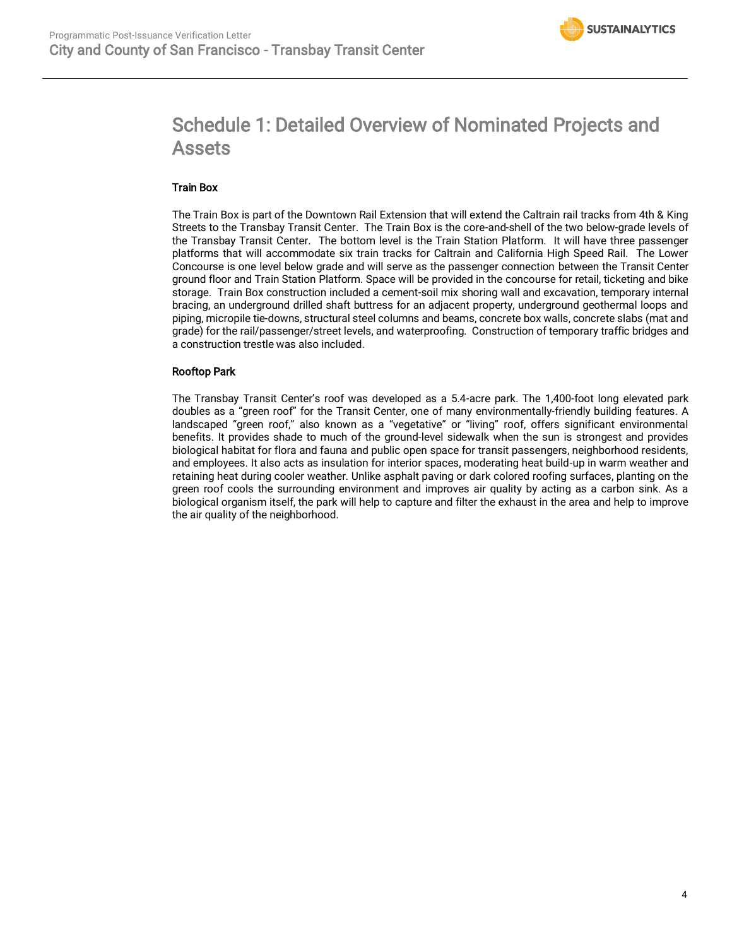# Schedule 1: Detailed Overview of Nominated Projects and Assets

## Train Box

The Train Box is part of the Downtown Rail Extension that will extend the Caltrain rail tracks from 4th & King Streets to the Transbay Transit Center. The Train Box is the core-and-shell of the two below-grade levels of the Transbay Transit Center. The bottom level is the Train Station Platform. It will have three passenger platforms that will accommodate six train tracks for Caltrain and California High Speed Rail. The Lower Concourse is one level below grade and will serve as the passenger connection between the Transit Center ground floor and Train Station Platform. Space will be provided in the concourse for retail, ticketing and bike storage. Train Box construction included a cement-soil mix shoring wall and excavation, temporary internal bracing, an underground drilled shaft buttress for an adjacent property, underground geothermal loops and piping, micropile tie-downs, structural steel columns and beams, concrete box walls, concrete slabs (mat and grade) for the rail/passenger/street levels, and waterproofing. Construction of temporary traffic bridges and a construction trestle was also included.

## Rooftop Park

The Transbay Transit Center's roof was developed as a 5.4-acre park. The 1,400-foot long elevated park doubles as a "green roof" for the Transit Center, one of many environmentally-friendly building features. A landscaped "green roof," also known as a "vegetative" or "living" roof, offers significant environmental benefits. It provides shade to much of the ground-level sidewalk when the sun is strongest and provides biological habitat for flora and fauna and public open space for transit passengers, neighborhood residents, and employees. It also acts as insulation for interior spaces, moderating heat build-up in warm weather and retaining heat during cooler weather. Unlike asphalt paving or dark colored roofing surfaces, planting on the green roof cools the surrounding environment and improves air quality by acting as a carbon sink. As a biological organism itself, the park will help to capture and filter the exhaust in the area and help to improve the air quality of the neighborhood.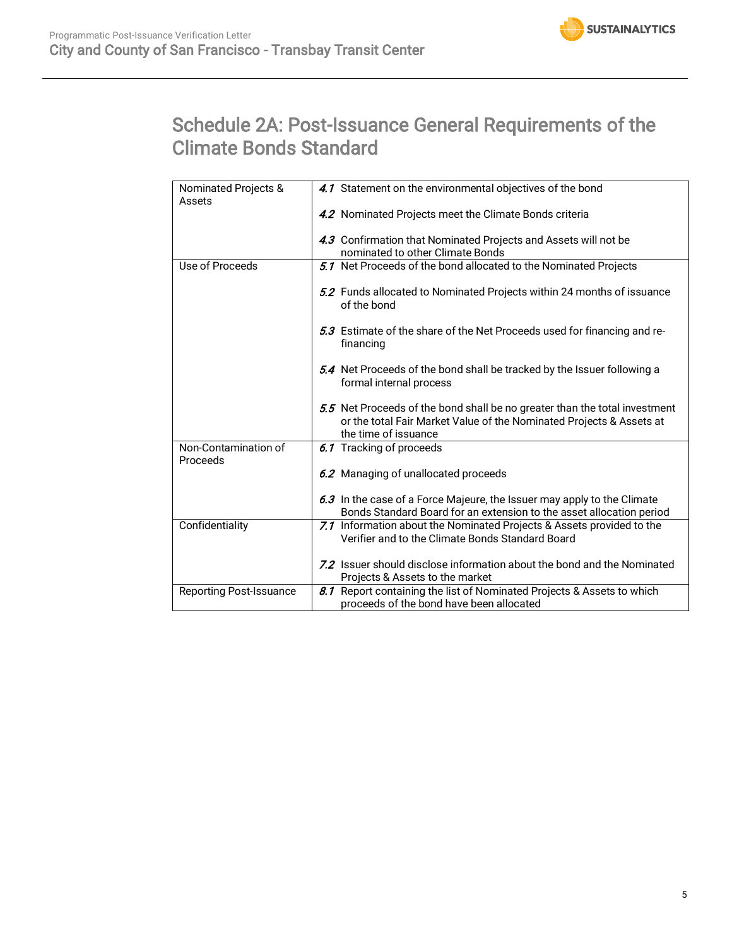# Schedule 2A: Post-Issuance General Requirements of the Climate Bonds Standard

| Nominated Projects &<br>Assets | 4.1 Statement on the environmental objectives of the bond                                                                                                                  |
|--------------------------------|----------------------------------------------------------------------------------------------------------------------------------------------------------------------------|
|                                | 4.2 Nominated Projects meet the Climate Bonds criteria                                                                                                                     |
|                                | 4.3 Confirmation that Nominated Projects and Assets will not be                                                                                                            |
|                                | nominated to other Climate Bonds                                                                                                                                           |
| Use of Proceeds                | 5.1 Net Proceeds of the bond allocated to the Nominated Projects                                                                                                           |
|                                | 5.2 Funds allocated to Nominated Projects within 24 months of issuance<br>of the bond                                                                                      |
|                                | 5.3 Estimate of the share of the Net Proceeds used for financing and re-<br>financing                                                                                      |
|                                | 5.4 Net Proceeds of the bond shall be tracked by the Issuer following a<br>formal internal process                                                                         |
|                                | 5.5 Net Proceeds of the bond shall be no greater than the total investment<br>or the total Fair Market Value of the Nominated Projects & Assets at<br>the time of issuance |
| Non-Contamination of           | 6.1 Tracking of proceeds                                                                                                                                                   |
| Proceeds                       |                                                                                                                                                                            |
|                                | 6.2 Managing of unallocated proceeds                                                                                                                                       |
|                                | 6.3 In the case of a Force Majeure, the Issuer may apply to the Climate                                                                                                    |
|                                | Bonds Standard Board for an extension to the asset allocation period                                                                                                       |
| Confidentiality                | 7.1 Information about the Nominated Projects & Assets provided to the                                                                                                      |
|                                | Verifier and to the Climate Bonds Standard Board                                                                                                                           |
|                                | 7.2 Issuer should disclose information about the bond and the Nominated                                                                                                    |
|                                | Projects & Assets to the market                                                                                                                                            |
| <b>Reporting Post-Issuance</b> | 8.1 Report containing the list of Nominated Projects & Assets to which                                                                                                     |
|                                | proceeds of the bond have been allocated                                                                                                                                   |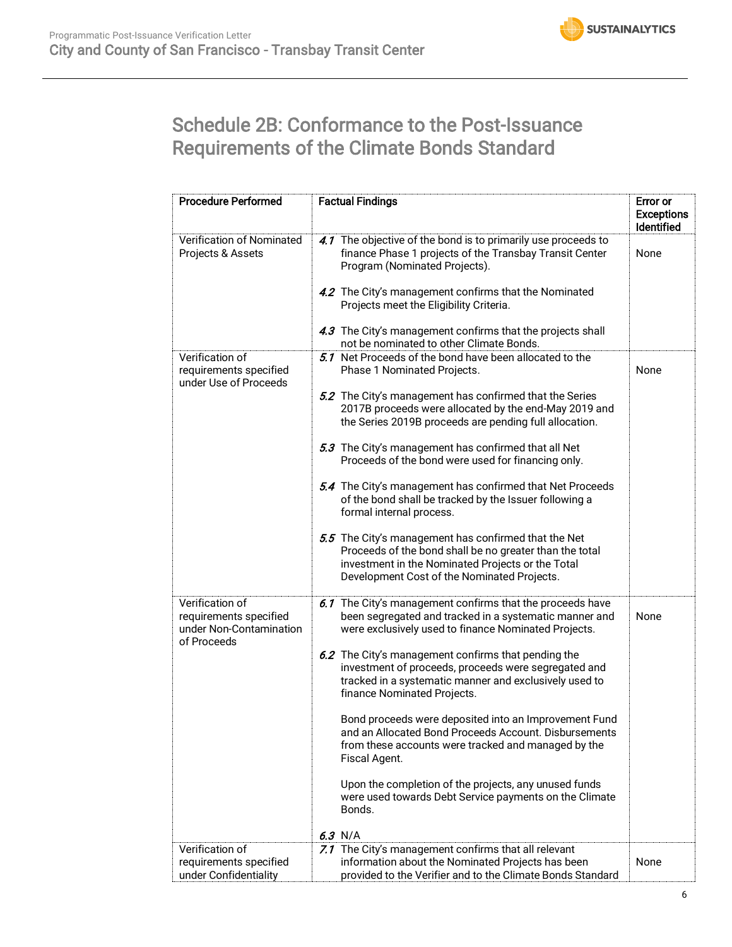# Schedule 2B: Conformance to the Post-Issuance Requirements of the Climate Bonds Standard

| <b>Procedure Performed</b>                                           | <b>Factual Findings</b>                                                                                                                                                                                             | Error or<br><b>Exceptions</b><br>Identified |
|----------------------------------------------------------------------|---------------------------------------------------------------------------------------------------------------------------------------------------------------------------------------------------------------------|---------------------------------------------|
| Verification of Nominated<br>Projects & Assets                       | 4.1 The objective of the bond is to primarily use proceeds to<br>finance Phase 1 projects of the Transbay Transit Center<br>Program (Nominated Projects).                                                           | None                                        |
|                                                                      | 4.2 The City's management confirms that the Nominated<br>Projects meet the Eligibility Criteria.                                                                                                                    |                                             |
|                                                                      | 4.3 The City's management confirms that the projects shall<br>not be nominated to other Climate Bonds.                                                                                                              |                                             |
| Verification of<br>requirements specified<br>under Use of Proceeds   | 5.1 Net Proceeds of the bond have been allocated to the<br>Phase 1 Nominated Projects.                                                                                                                              | None                                        |
|                                                                      | 5.2 The City's management has confirmed that the Series<br>2017B proceeds were allocated by the end-May 2019 and<br>the Series 2019B proceeds are pending full allocation.                                          |                                             |
|                                                                      | 5.3 The City's management has confirmed that all Net<br>Proceeds of the bond were used for financing only.                                                                                                          |                                             |
|                                                                      | 5.4 The City's management has confirmed that Net Proceeds<br>of the bond shall be tracked by the Issuer following a<br>formal internal process.                                                                     |                                             |
|                                                                      | 5.5 The City's management has confirmed that the Net<br>Proceeds of the bond shall be no greater than the total<br>investment in the Nominated Projects or the Total<br>Development Cost of the Nominated Projects. |                                             |
| Verification of<br>requirements specified<br>under Non-Contamination | 6.1 The City's management confirms that the proceeds have<br>been segregated and tracked in a systematic manner and<br>were exclusively used to finance Nominated Projects.                                         | None                                        |
| of Proceeds                                                          | 6.2 The City's management confirms that pending the<br>investment of proceeds, proceeds were segregated and<br>tracked in a systematic manner and exclusively used to<br>finance Nominated Projects.                |                                             |
|                                                                      | Bond proceeds were deposited into an Improvement Fund<br>and an Allocated Bond Proceeds Account. Disbursements<br>from these accounts were tracked and managed by the<br>Fiscal Agent.                              |                                             |
|                                                                      | Upon the completion of the projects, any unused funds<br>were used towards Debt Service payments on the Climate<br>Bonds.                                                                                           |                                             |
|                                                                      | $6.3$ N/A                                                                                                                                                                                                           |                                             |
| Verification of<br>requirements specified<br>under Confidentiality   | 7.1 The City's management confirms that all relevant<br>information about the Nominated Projects has been<br>provided to the Verifier and to the Climate Bonds Standard                                             | None                                        |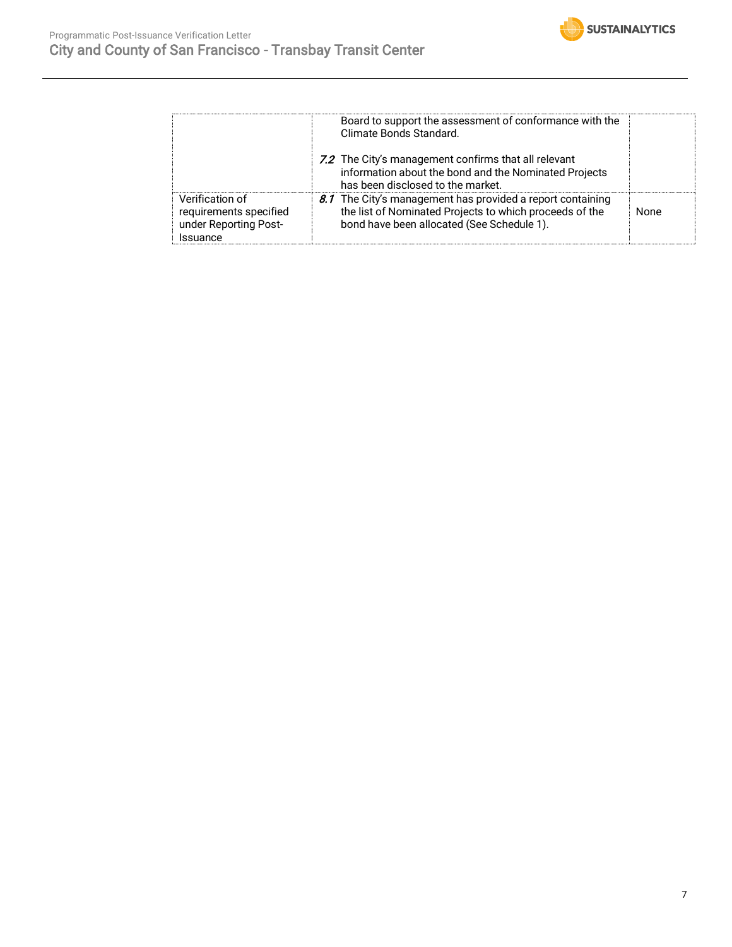

|                                                                                | Board to support the assessment of conformance with the<br>Climate Bonds Standard.                                                                                  |      |
|--------------------------------------------------------------------------------|---------------------------------------------------------------------------------------------------------------------------------------------------------------------|------|
|                                                                                | 7.2 The City's management confirms that all relevant<br>information about the bond and the Nominated Projects<br>has been disclosed to the market.                  |      |
| Verification of<br>requirements specified<br>under Reporting Post-<br>Issuance | 8.1 The City's management has provided a report containing<br>the list of Nominated Projects to which proceeds of the<br>bond have been allocated (See Schedule 1). | None |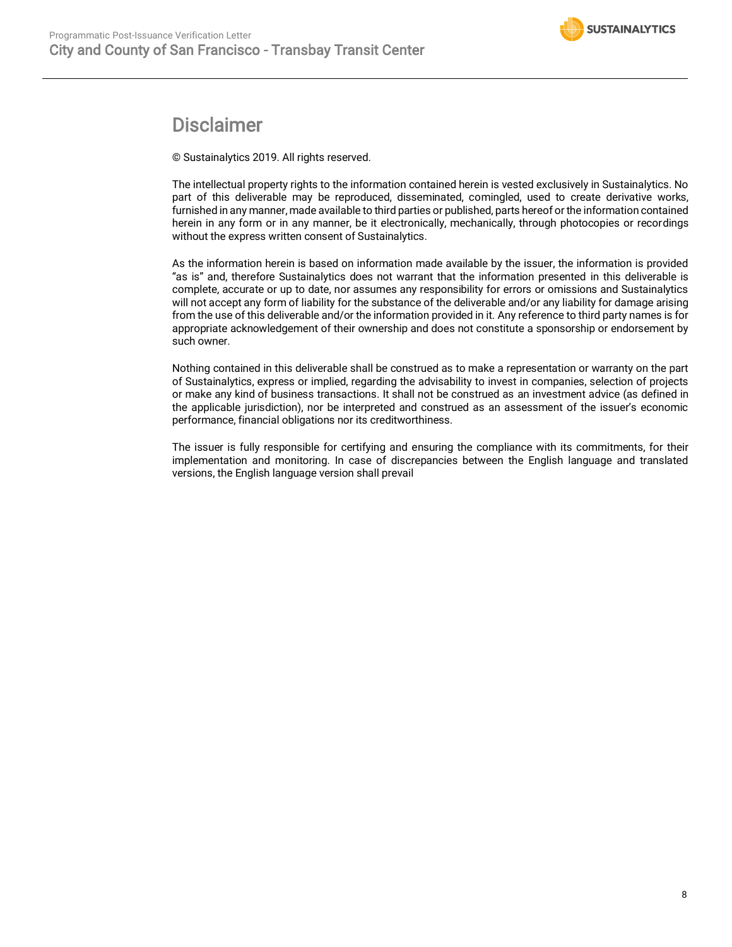## Disclaimer

© Sustainalytics 2019. All rights reserved.

The intellectual property rights to the information contained herein is vested exclusively in Sustainalytics. No part of this deliverable may be reproduced, disseminated, comingled, used to create derivative works, furnished in any manner, made available to third parties or published, parts hereof or the information contained herein in any form or in any manner, be it electronically, mechanically, through photocopies or recordings without the express written consent of Sustainalytics.

As the information herein is based on information made available by the issuer, the information is provided "as is" and, therefore Sustainalytics does not warrant that the information presented in this deliverable is complete, accurate or up to date, nor assumes any responsibility for errors or omissions and Sustainalytics will not accept any form of liability for the substance of the deliverable and/or any liability for damage arising from the use of this deliverable and/or the information provided in it. Any reference to third party names is for appropriate acknowledgement of their ownership and does not constitute a sponsorship or endorsement by such owner.

Nothing contained in this deliverable shall be construed as to make a representation or warranty on the part of Sustainalytics, express or implied, regarding the advisability to invest in companies, selection of projects or make any kind of business transactions. It shall not be construed as an investment advice (as defined in the applicable jurisdiction), nor be interpreted and construed as an assessment of the issuer's economic performance, financial obligations nor its creditworthiness.

The issuer is fully responsible for certifying and ensuring the compliance with its commitments, for their implementation and monitoring. In case of discrepancies between the English language and translated versions, the English language version shall prevail